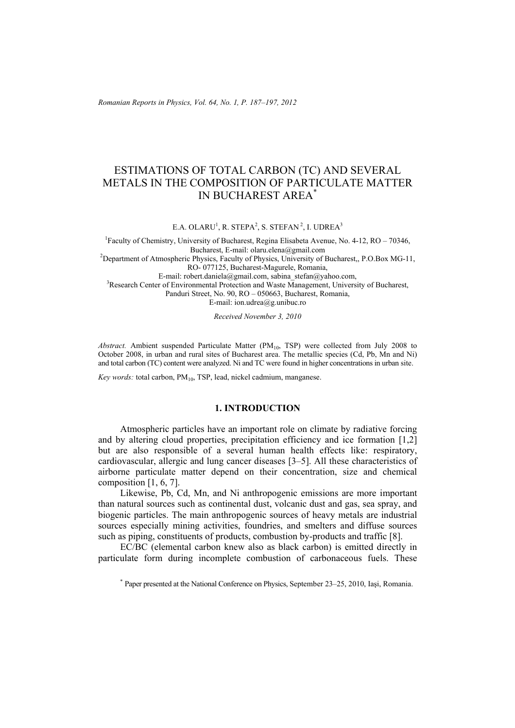*Romanian Reports in Physics, Vol. 64, No. 1, P. 187–197, 2012*

# ESTIMATIONS OF TOTAL CARBON (TC) AND SEVERAL METALS IN THE COMPOSITION OF PARTICULATE MATTER IN BUCHAREST AREA\*

E.A. OLARU<sup>1</sup>, R. STEPA<sup>2</sup>, S. STEFAN<sup>2</sup>, I. UDREA<sup>3</sup>

<sup>1</sup> Faculty of Chemistry, University of Bucharest, Regina Elisabeta Avenue, No. 4-12, RO – 70346, Bucharest, E-mail: olaru.elena@gmail.com<br><sup>2</sup>Department of Atmospheric Physics, Faculty of Physics, University of Bucharest,, P.O.Box MG-11, RO- 077125, Bucharest-Magurele, Romania,

E-mail: robert.daniela@gmail.com, sabina\_stefan@yahoo.com, <sup>3</sup>Research Center of Environmental Protection and Waste Management, University of Bucharest, Panduri Street, No. 90, RO – 050663, Bucharest, Romania, E-mail: ion.udrea@g.unibuc.ro

*Received November 3, 2010* 

Abstract. Ambient suspended Particulate Matter (PM<sub>10</sub>, TSP) were collected from July 2008 to October 2008, in urban and rural sites of Bucharest area. The metallic species (Cd, Pb, Mn and Ni) and total carbon (TC) content were analyzed. Ni and TC were found in higher concentrations in urban site.

*Key words:* total carbon, PM<sub>10</sub>, TSP, lead, nickel cadmium, manganese.

### **1. INTRODUCTION**

Atmospheric particles have an important role on climate by radiative forcing and by altering cloud properties, precipitation efficiency and ice formation [1,2] but are also responsible of a several human health effects like: respiratory, cardiovascular, allergic and lung cancer diseases [3–5]. All these characteristics of airborne particulate matter depend on their concentration, size and chemical composition [1, 6, 7].

Likewise, Pb, Cd, Mn, and Ni anthropogenic emissions are more important than natural sources such as continental dust, volcanic dust and gas, sea spray, and biogenic particles. The main anthropogenic sources of heavy metals are industrial sources especially mining activities, foundries, and smelters and diffuse sources such as piping, constituents of products, combustion by-products and traffic [8].

EC/BC (elemental carbon knew also as black carbon) is emitted directly in particulate form during incomplete combustion of carbonaceous fuels. These

<sup>\*</sup> Paper presented at the National Conference on Physics, September 23–25, 2010, Iaşi, Romania.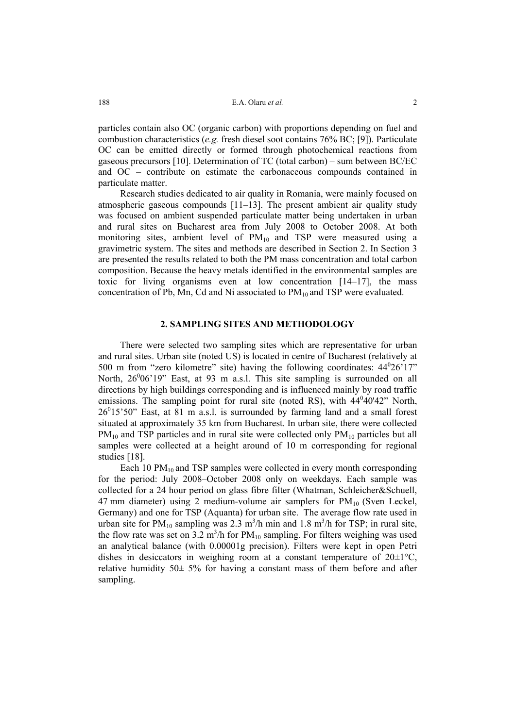particles contain also OC (organic carbon) with proportions depending on fuel and combustion characteristics (*e.g.* fresh diesel soot contains 76% BC; [9]). Particulate OC can be emitted directly or formed through photochemical reactions from gaseous precursors [10]. Determination of TC (total carbon) – sum between BC/EC and OC – contribute on estimate the carbonaceous compounds contained in particulate matter.

Research studies dedicated to air quality in Romania, were mainly focused on atmospheric gaseous compounds [11–13]. The present ambient air quality study was focused on ambient suspended particulate matter being undertaken in urban and rural sites on Bucharest area from July 2008 to October 2008. At both monitoring sites, ambient level of  $PM_{10}$  and TSP were measured using a gravimetric system. The sites and methods are described in Section 2. In Section 3 are presented the results related to both the PM mass concentration and total carbon composition. Because the heavy metals identified in the environmental samples are toxic for living organisms even at low concentration [14–17], the mass concentration of Pb, Mn, Cd and Ni associated to  $PM_{10}$  and TSP were evaluated.

#### **2. SAMPLING SITES AND METHODOLOGY**

There were selected two sampling sites which are representative for urban and rural sites. Urban site (noted US) is located in centre of Bucharest (relatively at 500 m from "zero kilometre" site) having the following coordinates:  $44^{\circ}26'17"$ North, 26<sup>0</sup>06'19" East, at 93 m a.s.l. This site sampling is surrounded on all directions by high buildings corresponding and is influenced mainly by road traffic emissions. The sampling point for rural site (noted RS), with  $44^040^142$ " North,  $26<sup>0</sup>15'50''$  East, at 81 m a.s.l. is surrounded by farming land and a small forest situated at approximately 35 km from Bucharest. In urban site, there were collected  $PM_{10}$  and TSP particles and in rural site were collected only  $PM_{10}$  particles but all samples were collected at a height around of 10 m corresponding for regional studies [18].

Each 10  $PM_{10}$  and TSP samples were collected in every month corresponding for the period: July 2008–October 2008 only on weekdays. Each sample was collected for a 24 hour period on glass fibre filter (Whatman, Schleicher&Schuell, 47 mm diameter) using 2 medium-volume air samplers for  $PM_{10}$  (Sven Leckel, Germany) and one for TSP (Aquanta) for urban site. The average flow rate used in urban site for  $PM_{10}$  sampling was 2.3 m<sup>3</sup>/h min and 1.8 m<sup>3</sup>/h for TSP; in rural site, the flow rate was set on  $3.2 \text{ m}^3/\text{h}$  for PM<sub>10</sub> sampling. For filters weighing was used an analytical balance (with 0.00001g precision). Filters were kept in open Petri dishes in desiccators in weighing room at a constant temperature of  $20\pm1\degree C$ , relative humidity  $50 \pm 5\%$  for having a constant mass of them before and after sampling.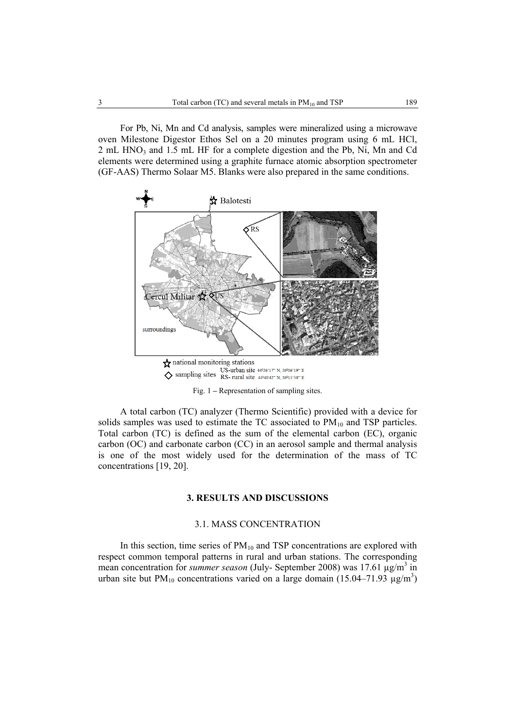For Pb, Ni, Mn and Cd analysis, samples were mineralized using a microwave oven Milestone Digestor Ethos Sel on a 20 minutes program using 6 mL HCl, 2 mL HNO<sub>3</sub> and 1.5 mL HF for a complete digestion and the Pb, Ni, Mn and Cd elements were determined using a graphite furnace atomic absorption spectrometer (GF-AAS) Thermo Solaar M5. Blanks were also prepared in the same conditions.



Fig. 1 **–** Representation of sampling sites.

A total carbon (TC) analyzer (Thermo Scientific) provided with a device for solids samples was used to estimate the TC associated to  $PM_{10}$  and TSP particles. Total carbon (TC) is defined as the sum of the elemental carbon (EC), organic carbon (OC) and carbonate carbon (CC) in an aerosol sample and thermal analysis is one of the most widely used for the determination of the mass of TC concentrations [19, 20].

# **3. RESULTS AND DISCUSSIONS**

## 3.1. MASS CONCENTRATION

In this section, time series of  $PM_{10}$  and TSP concentrations are explored with respect common temporal patterns in rural and urban stations. The corresponding mean concentration for *summer season* (July- September 2008) was 17.61  $\mu$ g/m<sup>3</sup> in urban site but PM<sub>10</sub> concentrations varied on a large domain (15.04–71.93  $\mu$ g/m<sup>3</sup>)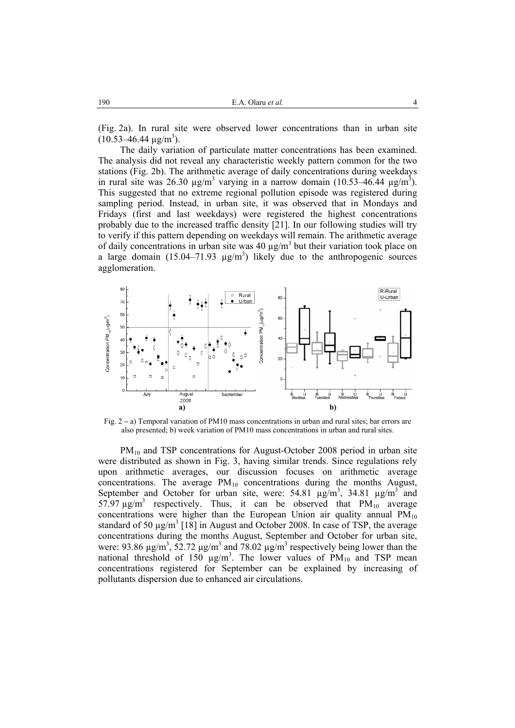(Fig. 2a). In rural site were observed lower concentrations than in urban site  $(10.53 - 46.44 \text{ µg/m}^3)$ .

The daily variation of particulate matter concentrations has been examined. The analysis did not reveal any characteristic weekly pattern common for the two stations (Fig. 2b). The arithmetic average of daily concentrations during weekdays in rural site was 26.30  $\mu$ g/m<sup>3</sup> varying in a narrow domain (10.53–46.44  $\mu$ g/m<sup>3</sup>). This suggested that no extreme regional pollution episode was registered during sampling period. Instead, in urban site, it was observed that in Mondays and Fridays (first and last weekdays) were registered the highest concentrations probably due to the increased traffic density [21]. In our following studies will try to verify if this pattern depending on weekdays will remain. The arithmetic average of daily concentrations in urban site was 40  $\mu$ g/m<sup>3</sup> but their variation took place on a large domain  $(15.04 - 71.93 \text{ µg/m}^3)$  likely due to the anthropogenic sources agglomeration.



Fig. 2 **–** a) Temporal variation of PM10 mass concentrations in urban and rural sites; bar errors are also presented; b) week variation of PM10 mass concentrations in urban and rural sites.

 $PM_{10}$  and TSP concentrations for August-October 2008 period in urban site were distributed as shown in Fig. 3, having similar trends. Since regulations rely upon arithmetic averages, our discussion focuses on arithmetic average concentrations. The average  $PM_{10}$  concentrations during the months August, September and October for urban site, were:  $54.81 \mu g/m^3$ ,  $34.81 \mu g/m^3$  and 57.97  $\mu$ g/m<sup>3</sup> respectively. Thus, it can be observed that PM<sub>10</sub> average concentrations were higher than the European Union air quality annual  $PM_{10}$ standard of 50  $\mu$ g/m<sup>3</sup> [18] in August and October 2008. In case of TSP, the average concentrations during the months August, September and October for urban site, were: 93.86  $\mu$ g/m<sup>3</sup>, 52.72  $\mu$ g/m<sup>3</sup> and 78.02  $\mu$ g/m<sup>3</sup> respectively being lower than the national threshold of 150  $\mu$ g/m<sup>3</sup>. The lower values of PM<sub>10</sub> and TSP mean concentrations registered for September can be explained by increasing of pollutants dispersion due to enhanced air circulations.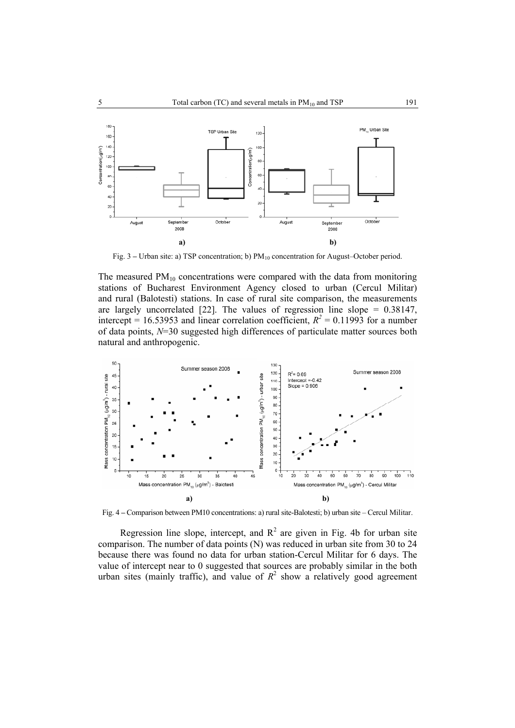

Fig. 3 – Urban site: a) TSP concentration; b)  $PM_{10}$  concentration for August–October period.

The measured  $PM_{10}$  concentrations were compared with the data from monitoring stations of Bucharest Environment Agency closed to urban (Cercul Militar) and rural (Balotesti) stations. In case of rural site comparison, the measurements are largely uncorrelated  $[22]$ . The values of regression line slope = 0.38147, intercept = 16.53953 and linear correlation coefficient,  $R^2 = 0.11993$  for a number of data points, *N*=30 suggested high differences of particulate matter sources both natural and anthropogenic.



Fig. 4 **–** Comparison between PM10 concentrations: a) rural site-Balotesti; b) urban site – Cercul Militar.

Regression line slope, intercept, and  $R^2$  are given in Fig. 4b for urban site comparison. The number of data points (N) was reduced in urban site from 30 to 24 because there was found no data for urban station-Cercul Militar for 6 days. The value of intercept near to 0 suggested that sources are probably similar in the both urban sites (mainly traffic), and value of  $R^2$  show a relatively good agreement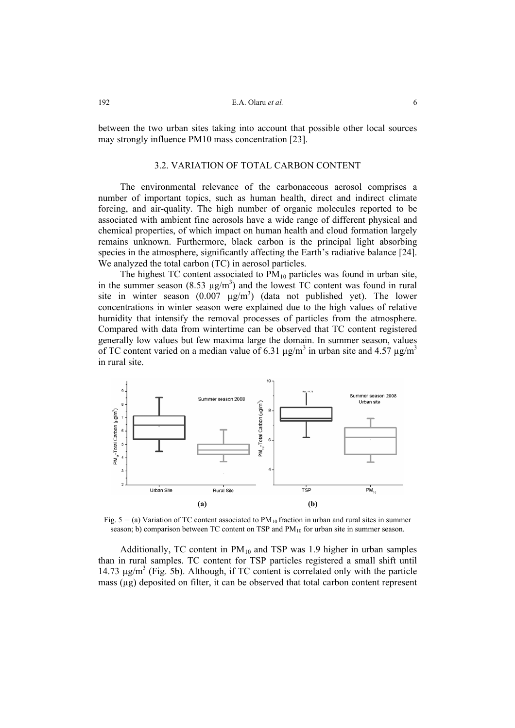between the two urban sites taking into account that possible other local sources may strongly influence PM10 mass concentration [23].

## 3.2. VARIATION OF TOTAL CARBON CONTENT

The environmental relevance of the carbonaceous aerosol comprises a number of important topics, such as human health, direct and indirect climate forcing, and air-quality. The high number of organic molecules reported to be associated with ambient fine aerosols have a wide range of different physical and chemical properties, of which impact on human health and cloud formation largely remains unknown. Furthermore, black carbon is the principal light absorbing species in the atmosphere, significantly affecting the Earth's radiative balance [24]. We analyzed the total carbon (TC) in aerosol particles.

The highest TC content associated to  $PM_{10}$  particles was found in urban site, in the summer season  $(8.53 \mu g/m^3)$  and the lowest TC content was found in rural site in winter season  $(0.007 \text{ }\mu\text{g/m}^3)$  (data not published yet). The lower concentrations in winter season were explained due to the high values of relative humidity that intensify the removal processes of particles from the atmosphere. Compared with data from wintertime can be observed that TC content registered generally low values but few maxima large the domain. In summer season, values of TC content varied on a median value of 6.31  $\mu$ g/m<sup>3</sup> in urban site and 4.57  $\mu$ g/m<sup>3</sup> in rural site.



Fig.  $5 - (a)$  Variation of TC content associated to  $PM_{10}$  fraction in urban and rural sites in summer season; b) comparison between TC content on TSP and  $PM_{10}$  for urban site in summer season.

Additionally, TC content in  $PM_{10}$  and TSP was 1.9 higher in urban samples than in rural samples. TC content for TSP particles registered a small shift until 14.73  $\mu$ g/m<sup>3</sup> (Fig. 5b). Although, if TC content is correlated only with the particle mass  $(\mu g)$  deposited on filter, it can be observed that total carbon content represent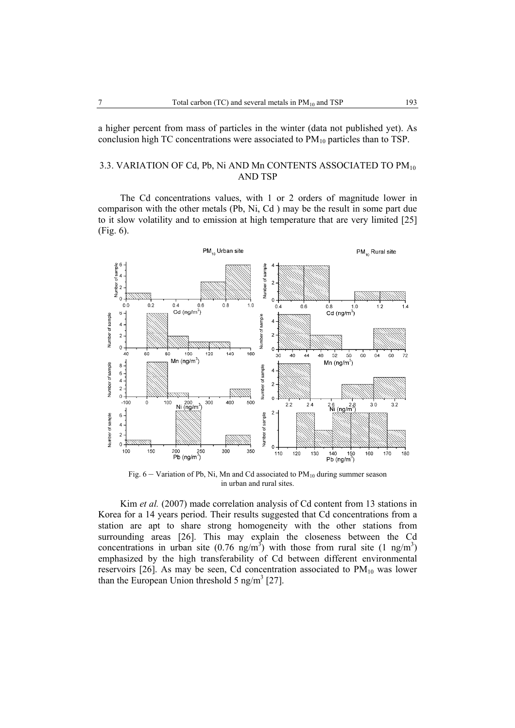a higher percent from mass of particles in the winter (data not published yet). As conclusion high TC concentrations were associated to  $PM_{10}$  particles than to TSP.

# 3.3. VARIATION OF Cd, Pb, Ni AND Mn CONTENTS ASSOCIATED TO PM<sub>10</sub> AND TSP

The Cd concentrations values, with 1 or 2 orders of magnitude lower in comparison with the other metals (Pb, Ni, Cd ) may be the result in some part due to it slow volatility and to emission at high temperature that are very limited [25] (Fig. 6).



Fig.  $6 -$  Variation of Pb, Ni, Mn and Cd associated to PM<sub>10</sub> during summer season in urban and rural sites.

Kim *et al.* (2007) made correlation analysis of Cd content from 13 stations in Korea for a 14 years period. Their results suggested that Cd concentrations from a station are apt to share strong homogeneity with the other stations from surrounding areas [26]. This may explain the closeness between the Cd concentrations in urban site (0.76 ng/m<sup>3</sup>) with those from rural site (1 ng/m<sup>3</sup>) emphasized by the high transferability of Cd between different environmental reservoirs  $[26]$ . As may be seen, Cd concentration associated to  $PM_{10}$  was lower than the European Union threshold 5 ng/m<sup>3</sup> [27].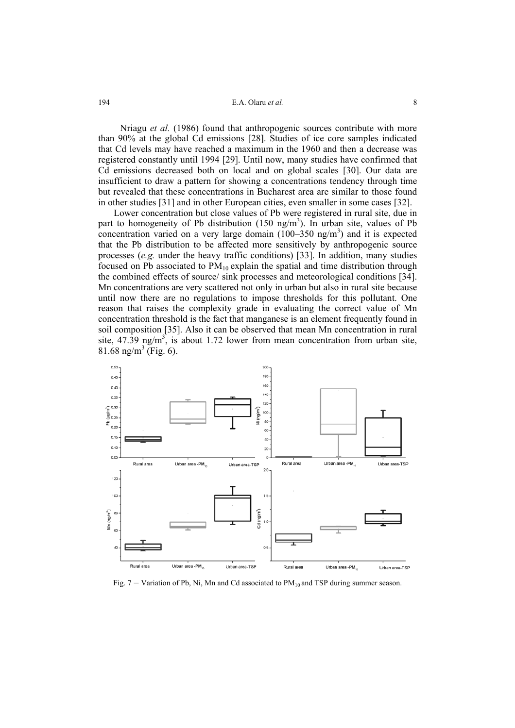Nriagu *et al.* (1986) found that anthropogenic sources contribute with more than 90% at the global Cd emissions [28]. Studies of ice core samples indicated that Cd levels may have reached a maximum in the 1960 and then a decrease was registered constantly until 1994 [29]. Until now, many studies have confirmed that Cd emissions decreased both on local and on global scales [30]. Our data are insufficient to draw a pattern for showing a concentrations tendency through time but revealed that these concentrations in Bucharest area are similar to those found in other studies [31] and in other European cities, even smaller in some cases [32].

Lower concentration but close values of Pb were registered in rural site, due in part to homogeneity of Pb distribution  $(150 \text{ ng/m}^3)$ . In urban site, values of Pb concentration varied on a very large domain  $(100-350 \text{ ng/m}^3)$  and it is expected that the Pb distribution to be affected more sensitively by anthropogenic source processes (*e.g.* under the heavy traffic conditions) [33]. In addition, many studies focused on Pb associated to  $PM_{10}$  explain the spatial and time distribution through the combined effects of source/ sink processes and meteorological conditions [34]. Mn concentrations are very scattered not only in urban but also in rural site because until now there are no regulations to impose thresholds for this pollutant. One reason that raises the complexity grade in evaluating the correct value of Mn concentration threshold is the fact that manganese is an element frequently found in soil composition [35]. Also it can be observed that mean Mn concentration in rural site,  $47.\overline{39}$  ng/m<sup>3</sup>, is about 1.72 lower from mean concentration from urban site, 81.68 ng/m<sup>3</sup> (Fig. 6).



Fig.  $7 -$  Variation of Pb, Ni, Mn and Cd associated to PM<sub>10</sub> and TSP during summer season.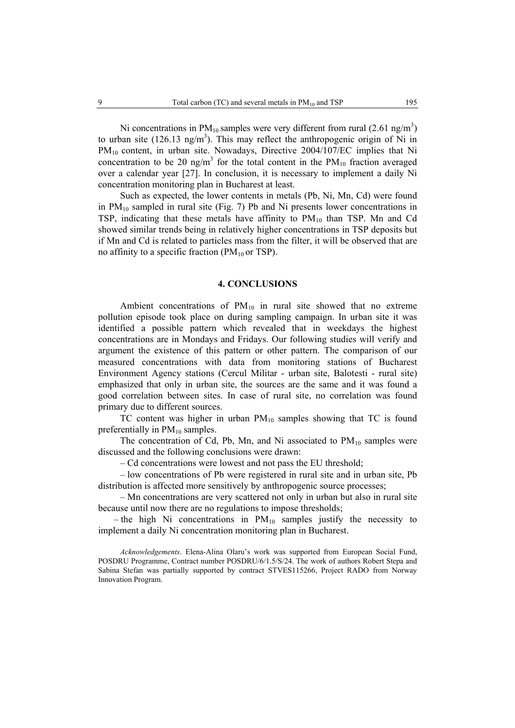Ni concentrations in  $PM_{10}$  samples were very different from rural (2.61 ng/m<sup>3</sup>) to urban site  $(126.13 \text{ ng/m}^3)$ . This may reflect the anthropogenic origin of Ni in PM<sub>10</sub> content, in urban site. Nowadays, Directive 2004/107/EC implies that Ni concentration to be 20 ng/m<sup>3</sup> for the total content in the  $PM_{10}$  fraction averaged over a calendar year [27]. In conclusion, it is necessary to implement a daily Ni concentration monitoring plan in Bucharest at least.

Such as expected, the lower contents in metals (Pb, Ni, Mn, Cd) were found in  $PM_{10}$  sampled in rural site (Fig. 7) Pb and Ni presents lower concentrations in TSP, indicating that these metals have affinity to  $PM_{10}$  than TSP. Mn and Cd showed similar trends being in relatively higher concentrations in TSP deposits but if Mn and Cd is related to particles mass from the filter, it will be observed that are no affinity to a specific fraction ( $PM_{10}$  or TSP).

#### **4. CONCLUSIONS**

Ambient concentrations of  $PM_{10}$  in rural site showed that no extreme pollution episode took place on during sampling campaign. In urban site it was identified a possible pattern which revealed that in weekdays the highest concentrations are in Mondays and Fridays. Our following studies will verify and argument the existence of this pattern or other pattern. The comparison of our measured concentrations with data from monitoring stations of Bucharest Environment Agency stations (Cercul Militar - urban site, Balotesti - rural site) emphasized that only in urban site, the sources are the same and it was found a good correlation between sites. In case of rural site, no correlation was found primary due to different sources.

TC content was higher in urban  $PM_{10}$  samples showing that TC is found preferentially in  $PM_{10}$  samples.

The concentration of Cd, Pb, Mn, and Ni associated to  $PM_{10}$  samples were discussed and the following conclusions were drawn:

– Cd concentrations were lowest and not pass the EU threshold;

– low concentrations of Pb were registered in rural site and in urban site, Pb distribution is affected more sensitively by anthropogenic source processes;

– Mn concentrations are very scattered not only in urban but also in rural site because until now there are no regulations to impose thresholds;

– the high Ni concentrations in  $PM_{10}$  samples justify the necessity to implement a daily Ni concentration monitoring plan in Bucharest.

*Acknowledgements*. Elena-Alina Olaru's work was supported from European Social Fund, POSDRU Programme, Contract number POSDRU/6/1.5/S/24. The work of authors Robert Stepa and Sabina Stefan was partially supported by contract STVES115266, Project RADO from Norway Innovation Program.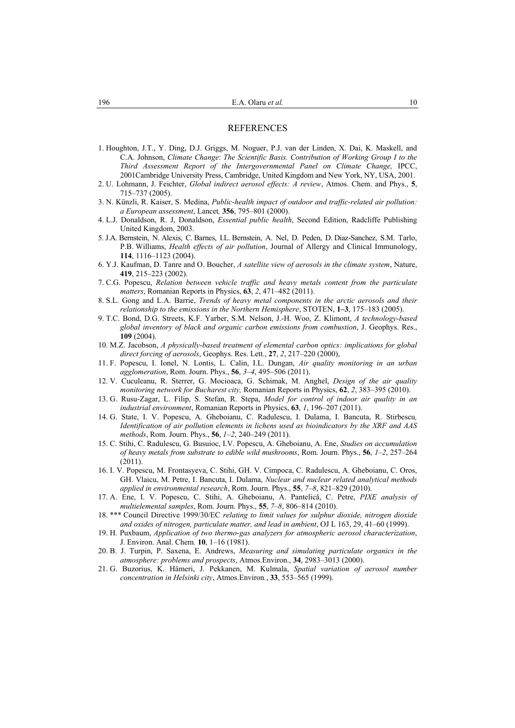#### REFERENCES

- 1. Houghton, J.T., Y. Ding, D.J. Griggs, M. Noguer, P.J. van der Linden, X. Dai, K. Maskell, and C.A. Johnson, *Climate Change*: *The Scientific Basis. Contribution of Working Group I to the Third Assessment Report of the Intergovernmental Panel on Climate Change,* IPCC, 2001Cambridge University Press, Cambridge, United Kingdom and New York, NY, USA, 2001.
- 2. U. Lohmann, J. Feichter, *Global indirect aerosol effects: A review*, Atmos. Chem. and Phys., **5**, 715–737 (2005).
- 3. N. Künzli, R. Kaiser, S. Medina, *Public-health impact of outdoor and traffic-related air pollution: a European assessment*, Lancet*,* **356**, 795–801 (2000).
- 4. L.J. Donaldson, R. J, Donaldson, *Essential public health*, Second Edition, Radcliffe Publishing United Kingdom, 2003.
- 5. J.A. Bernstein, N. Alexis, C. Barnes, I.L. Bernstein, A. Nel, D. Peden, D. Diaz-Sanchez, S.M. Tarlo, P.B. Williams, *Health effects of air pollution*, Journal of Allergy and Clinical Immunology, **114**, 1116–1123 (2004).
- 6. Y.J. Kaufman, D. Tanre and O. Boucher, *A satellite view of aerosols in the climate system*, Nature, **419**, 215–223 (2002).
- 7. C.G. Popescu, *Relation between vehicle traffic and heavy metals content from the particulate matters*, Romanian Reports in Physics, **63**, *2*, 471–482 (2011).
- 8. S.L. Gong and L.A. Barrie, *Trends of heavy metal components in the arctic aerosols and their relationship to the emissions in the Northern Hemisphere*, STOTEN, **1–3**, 175–183 (2005).
- 9. T.C. Bond, D.G. Streets, K.F. Yarber, S.M. Nelson, J.-H. Woo, Z. Klimont, *A technology-based global inventory of black and organic carbon emissions from combustion*, J. Geophys. Res., **109** (2004).
- 10. M.Z. Jacobson, *A physically-based treatment of elemental carbon optics: implications for global direct forcing of aerosols*, Geophys. Res. Lett., **27**, *2*, 217–220 (2000),
- 11. F. Popescu, I. Ionel, N. Lontis, L. Calin, I.L. Dungan, *Air quality monitoring in an urban agglomeration*, Rom. Journ. Phys., **56**, *3–4*, 495–506 (2011).
- 12. V. Cuculeanu, R. Sterrer, G. Mocioaca, G. Schimak, M. Anghel, *Design of the air quality monitoring network for Bucharest city,* Romanian Reports in Physics, **62**, *2*, 383–395 (2010).
- 13. G. Rusu-Zagar, L. Filip, S. Stefan, R. Stepa, *Model for control of indoor air quality in an industrial environment*, Romanian Reports in Physics, **63**, *1*, 196–207 (2011).
- 14. G. State, I. V. Popescu, A. Gheboianu, C. Radulescu, I. Dulama, I. Bancuta, R. Stirbescu*, Identification of air pollution elements in lichens used as bioindicators by the XRF and AAS methods*, Rom. Journ. Phys., **56**, *1–2*, 240–249 (2011).
- 15. C. Stihi, C. Radulescu, G. Busuioc, I.V. Popescu, A. Gheboianu, A. Ene, *Studies on accumulation of heavy metals from substrate to edible wild mushrooms*, Rom. Journ. Phys., **56**, *1–2*, 257–264  $(2011)$
- 16. I. V. Popescu, M. Frontasyeva, C. Stihi, GH. V. Cimpoca, C. Radulescu, A. Gheboianu, C. Oros, GH. Vlaicu, M. Petre, I. Bancuta, I. Dulama, *Nuclear and nuclear related analytical methods applied in environmental research*, Rom. Journ. Phys., **55**, *7–8*, 821–829 (2010).
- 17. A. Ene, I. V. Popescu, C. Stihi, A. Gheboianu, A. Pantelică, C. Petre, *PIXE analysis of multielemental samples*, Rom. Journ. Phys., **55**, *7–8*, 806–814 (2010).
- 18. \*\*\* Council Directive 1999/30/EC *relating to limit values for sulphur dioxide, nitrogen dioxide and oxides of nitrogen, particulate matter, and lead in ambient*, OJ L 163, 29, 41–60 (1999).
- 19. H. Puxbaum, *Application of two thermo-gas analyzers for atmospheric aerosol characterization*, J. Environ. Anal. Chem*.* **10**, 1–16 (1981).
- 20. B. J. Turpin, P. Saxena, E. Andrews, *Measuring and simulating particulate organics in the atmosphere: problems and prospects*, Atmos.Environ., **34**, 2983–3013 (2000).
- 21. G. Buzorius, K. Hämeri, J. Pekkanen, M. Kulmala, *Spatial variation of aerosol number concentration in Helsinki city*, Atmos.Environ*.*, **33**, 553–565 (1999).